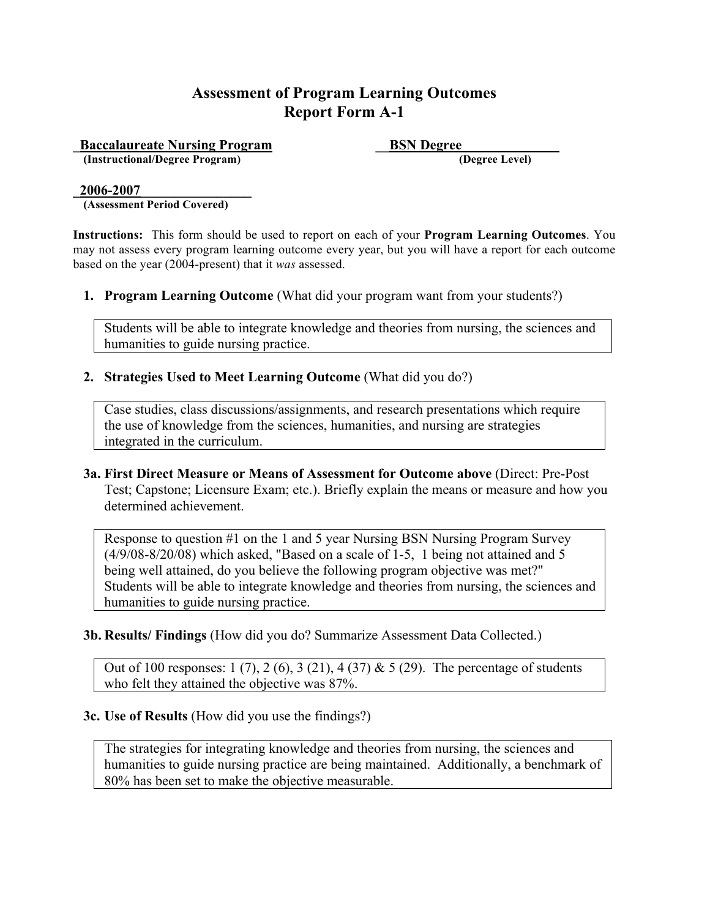**Example 3 Example 2 ESN Degree**<br> **ESN Degree**<br> **ESN Degree** Level  $(Instructional/Degree Program)$ 

#### **\_2006-2007\_\_\_\_\_\_\_\_\_\_\_\_\_\_\_\_**

**(Assessment Period Covered)**

**Instructions:** This form should be used to report on each of your **Program Learning Outcomes**. You may not assess every program learning outcome every year, but you will have a report for each outcome based on the year (2004-present) that it *was* assessed.

**1. Program Learning Outcome** (What did your program want from your students?)

Students will be able to integrate knowledge and theories from nursing, the sciences and humanities to guide nursing practice.

#### **2. Strategies Used to Meet Learning Outcome** (What did you do?)

Case studies, class discussions/assignments, and research presentations which require the use of knowledge from the sciences, humanities, and nursing are strategies integrated in the curriculum.

**3a. First Direct Measure or Means of Assessment for Outcome above** (Direct: Pre-Post Test; Capstone; Licensure Exam; etc.). Briefly explain the means or measure and how you determined achievement.

Response to question #1 on the 1 and 5 year Nursing BSN Nursing Program Survey (4/9/08-8/20/08) which asked, "Based on a scale of 1-5, 1 being not attained and 5 being well attained, do you believe the following program objective was met?" Students will be able to integrate knowledge and theories from nursing, the sciences and humanities to guide nursing practice.

**3b. Results/ Findings** (How did you do? Summarize Assessment Data Collected.)

Out of 100 responses:  $1(7)$ ,  $2(6)$ ,  $3(21)$ ,  $4(37)$  &  $5(29)$ . The percentage of students who felt they attained the objective was 87%.

#### **3c. Use of Results** (How did you use the findings?)

The strategies for integrating knowledge and theories from nursing, the sciences and humanities to guide nursing practice are being maintained. Additionally, a benchmark of 80% has been set to make the objective measurable.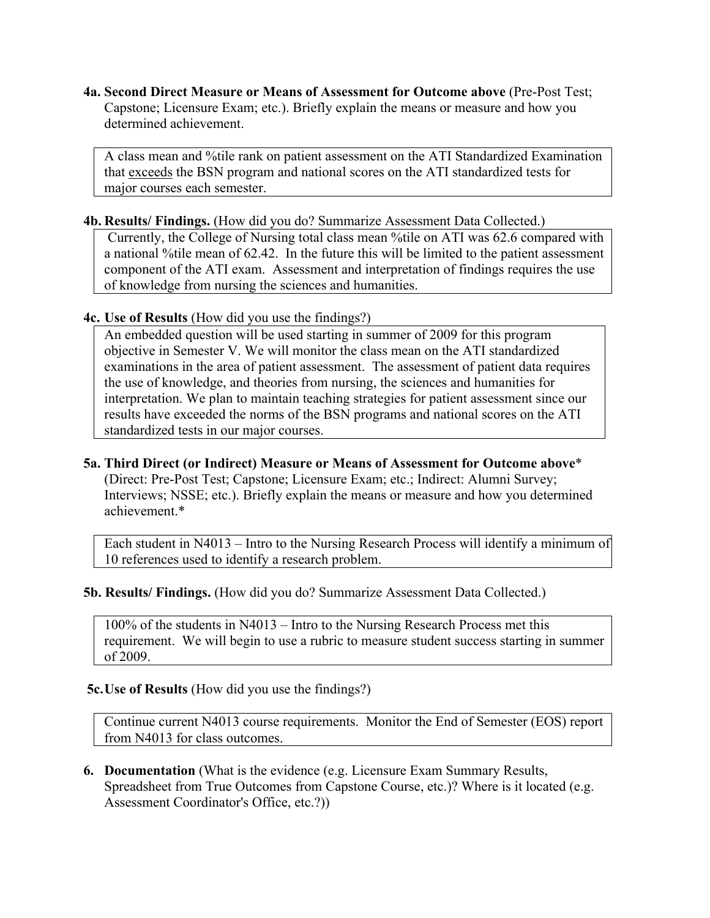A class mean and %tile rank on patient assessment on the ATI Standardized Examination that exceeds the BSN program and national scores on the ATI standardized tests for major courses each semester.

#### **4b. Results/ Findings.** (How did you do? Summarize Assessment Data Collected.)

Currently, the College of Nursing total class mean %tile on ATI was 62.6 compared with a national %tile mean of 62.42. In the future this will be limited to the patient assessment component of the ATI exam. Assessment and interpretation of findings requires the use of knowledge from nursing the sciences and humanities.

**4c. Use of Results** (How did you use the findings?)

An embedded question will be used starting in summer of 2009 for this program objective in Semester V. We will monitor the class mean on the ATI standardized examinations in the area of patient assessment. The assessment of patient data requires the use of knowledge, and theories from nursing, the sciences and humanities for interpretation. We plan to maintain teaching strategies for patient assessment since our results have exceeded the norms of the BSN programs and national scores on the ATI standardized tests in our major courses.

**5a. Third Direct (or Indirect) Measure or Means of Assessment for Outcome above**\* (Direct: Pre-Post Test; Capstone; Licensure Exam; etc.; Indirect: Alumni Survey; Interviews; NSSE; etc.). Briefly explain the means or measure and how you determined achievement.\*

Each student in N4013 – Intro to the Nursing Research Process will identify a minimum of 10 references used to identify a research problem.

#### **5b. Results/ Findings.** (How did you do? Summarize Assessment Data Collected.)

100% of the students in N4013 – Intro to the Nursing Research Process met this requirement. We will begin to use a rubric to measure student success starting in summer of 2009.

 **5c.Use of Results** (How did you use the findings?)

Continue current N4013 course requirements. Monitor the End of Semester (EOS) report from N4013 for class outcomes.

**6. Documentation** (What is the evidence (e.g. Licensure Exam Summary Results, Spreadsheet from True Outcomes from Capstone Course, etc.)? Where is it located (e.g. Assessment Coordinator's Office, etc.?))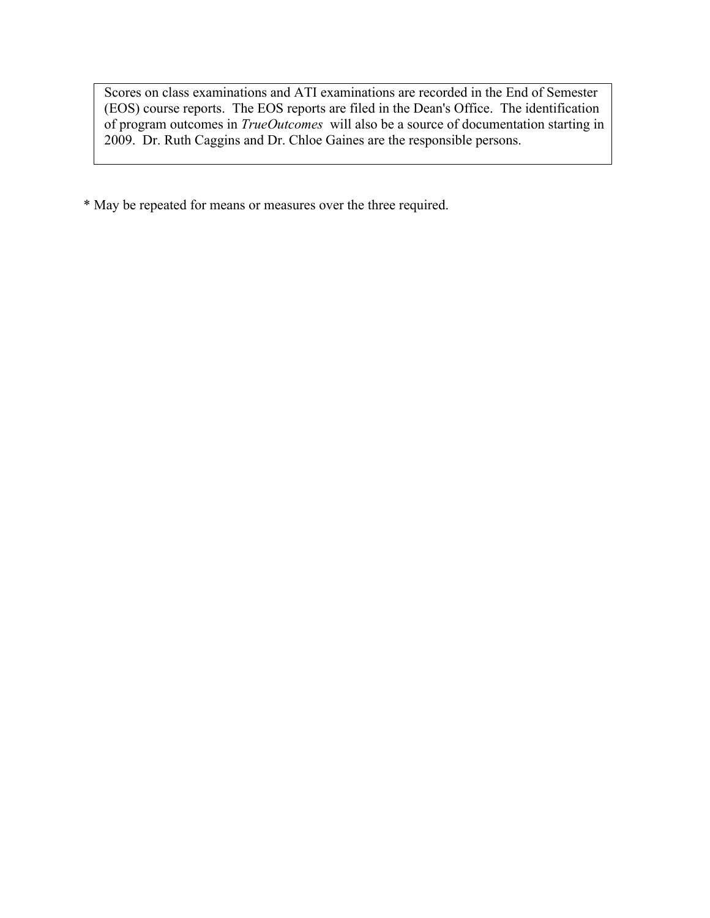Scores on class examinations and ATI examinations are recorded in the End of Semester (EOS) course reports. The EOS reports are filed in the Dean's Office. The identification of program outcomes in *TrueOutcomes* will also be a source of documentation starting in 2009. Dr. Ruth Caggins and Dr. Chloe Gaines are the responsible persons.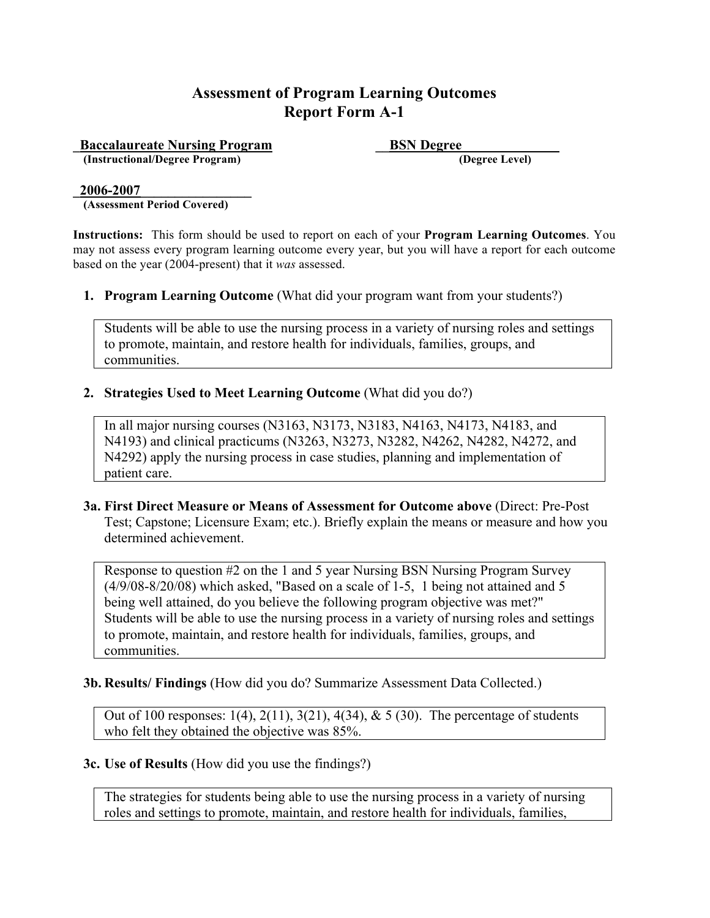**Accalaureate Nursing Program**<br> **ESN Degree** (Instructional/Degree Program) **\_\_\_\_\_\_\_\_\_\_\_\_\_\_\_\_\_\_\_\_\_\_\_\_\_\_\_\_\_\_\_\_\_\_\_** (Degree Level)  $(Instructional/Degree Program)$ 

#### **\_2006-2007\_\_\_\_\_\_\_\_\_\_\_\_\_\_\_\_**

**(Assessment Period Covered)**

**Instructions:** This form should be used to report on each of your **Program Learning Outcomes**. You may not assess every program learning outcome every year, but you will have a report for each outcome based on the year (2004-present) that it *was* assessed.

**1. Program Learning Outcome** (What did your program want from your students?)

Students will be able to use the nursing process in a variety of nursing roles and settings to promote, maintain, and restore health for individuals, families, groups, and communities.

**2. Strategies Used to Meet Learning Outcome** (What did you do?)

In all major nursing courses (N3163, N3173, N3183, N4163, N4173, N4183, and N4193) and clinical practicums (N3263, N3273, N3282, N4262, N4282, N4272, and N4292) apply the nursing process in case studies, planning and implementation of patient care.

**3a. First Direct Measure or Means of Assessment for Outcome above** (Direct: Pre-Post Test; Capstone; Licensure Exam; etc.). Briefly explain the means or measure and how you determined achievement.

Response to question #2 on the 1 and 5 year Nursing BSN Nursing Program Survey (4/9/08-8/20/08) which asked, "Based on a scale of 1-5, 1 being not attained and 5 being well attained, do you believe the following program objective was met?" Students will be able to use the nursing process in a variety of nursing roles and settings to promote, maintain, and restore health for individuals, families, groups, and communities.

## **3b. Results/ Findings** (How did you do? Summarize Assessment Data Collected.)

Out of 100 responses: 1(4), 2(11), 3(21), 4(34), & 5 (30). The percentage of students who felt they obtained the objective was 85%.

#### **3c. Use of Results** (How did you use the findings?)

The strategies for students being able to use the nursing process in a variety of nursing roles and settings to promote, maintain, and restore health for individuals, families,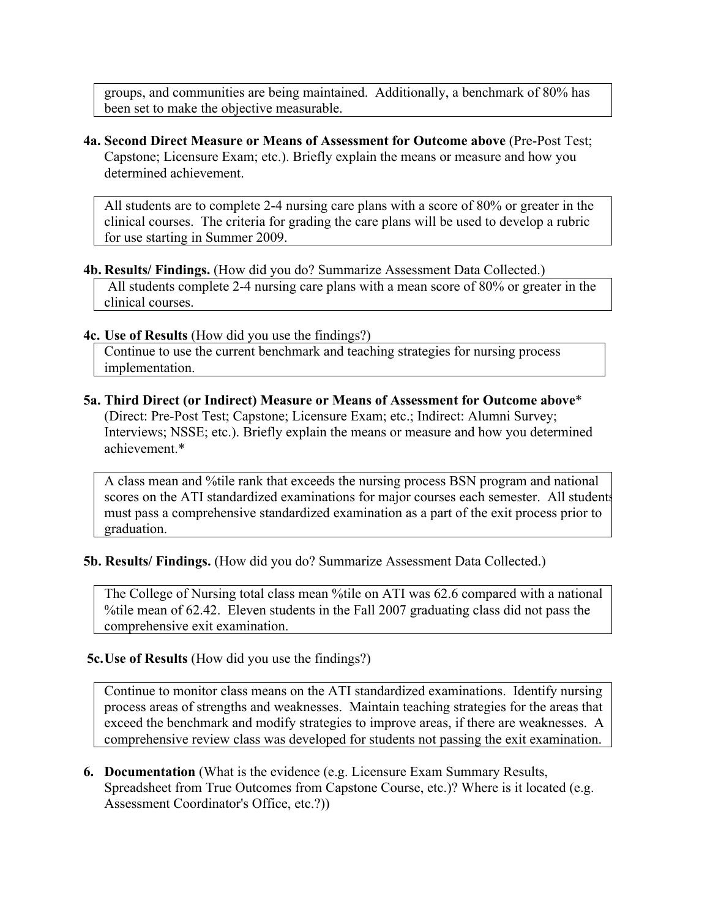groups, and communities are being maintained. Additionally, a benchmark of 80% has been set to make the objective measurable.

**4a. Second Direct Measure or Means of Assessment for Outcome above** (Pre-Post Test; Capstone; Licensure Exam; etc.). Briefly explain the means or measure and how you determined achievement.

All students are to complete 2-4 nursing care plans with a score of 80% or greater in the clinical courses. The criteria for grading the care plans will be used to develop a rubric for use starting in Summer 2009.

**4b. Results/ Findings.** (How did you do? Summarize Assessment Data Collected.)

All students complete 2-4 nursing care plans with a mean score of 80% or greater in the clinical courses.

**4c. Use of Results** (How did you use the findings?)

Continue to use the current benchmark and teaching strategies for nursing process implementation.

**5a. Third Direct (or Indirect) Measure or Means of Assessment for Outcome above**\* (Direct: Pre-Post Test; Capstone; Licensure Exam; etc.; Indirect: Alumni Survey; Interviews; NSSE; etc.). Briefly explain the means or measure and how you determined achievement.\*

A class mean and %tile rank that exceeds the nursing process BSN program and national scores on the ATI standardized examinations for major courses each semester. All students must pass a comprehensive standardized examination as a part of the exit process prior to graduation.

**5b. Results/ Findings.** (How did you do? Summarize Assessment Data Collected.)

The College of Nursing total class mean %tile on ATI was 62.6 compared with a national %tile mean of 62.42. Eleven students in the Fall 2007 graduating class did not pass the comprehensive exit examination.

#### **5c.Use of Results** (How did you use the findings?)

Continue to monitor class means on the ATI standardized examinations. Identify nursing process areas of strengths and weaknesses. Maintain teaching strategies for the areas that exceed the benchmark and modify strategies to improve areas, if there are weaknesses. A comprehensive review class was developed for students not passing the exit examination.

**6. Documentation** (What is the evidence (e.g. Licensure Exam Summary Results, Spreadsheet from True Outcomes from Capstone Course, etc.)? Where is it located (e.g. Assessment Coordinator's Office, etc.?))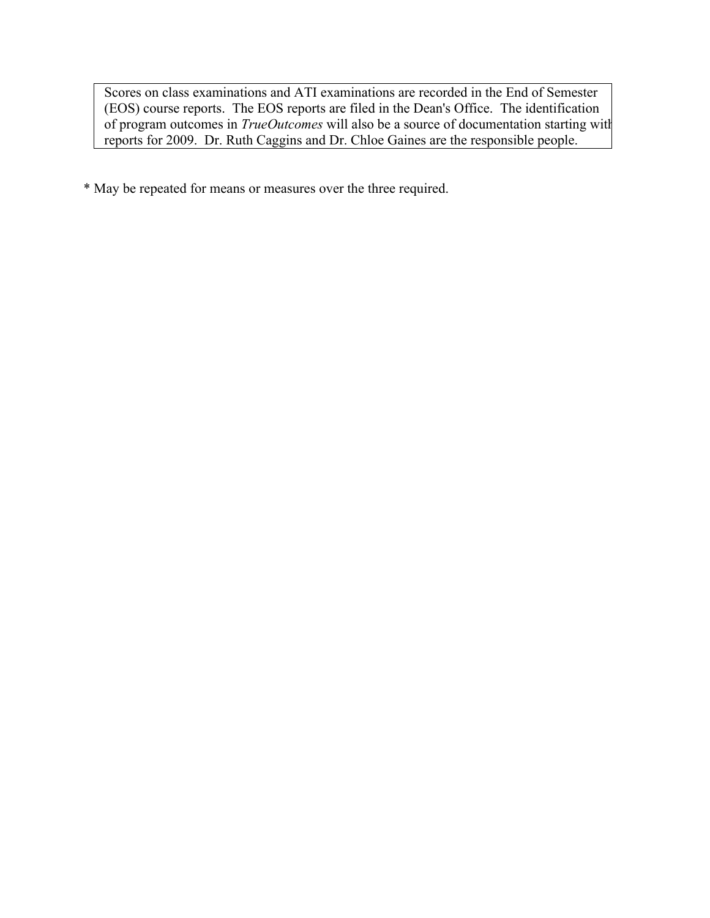Scores on class examinations and ATI examinations are recorded in the End of Semester (EOS) course reports. The EOS reports are filed in the Dean's Office. The identification of program outcomes in *TrueOutcomes* will also be a source of documentation starting with reports for 2009. Dr. Ruth Caggins and Dr. Chloe Gaines are the responsible people.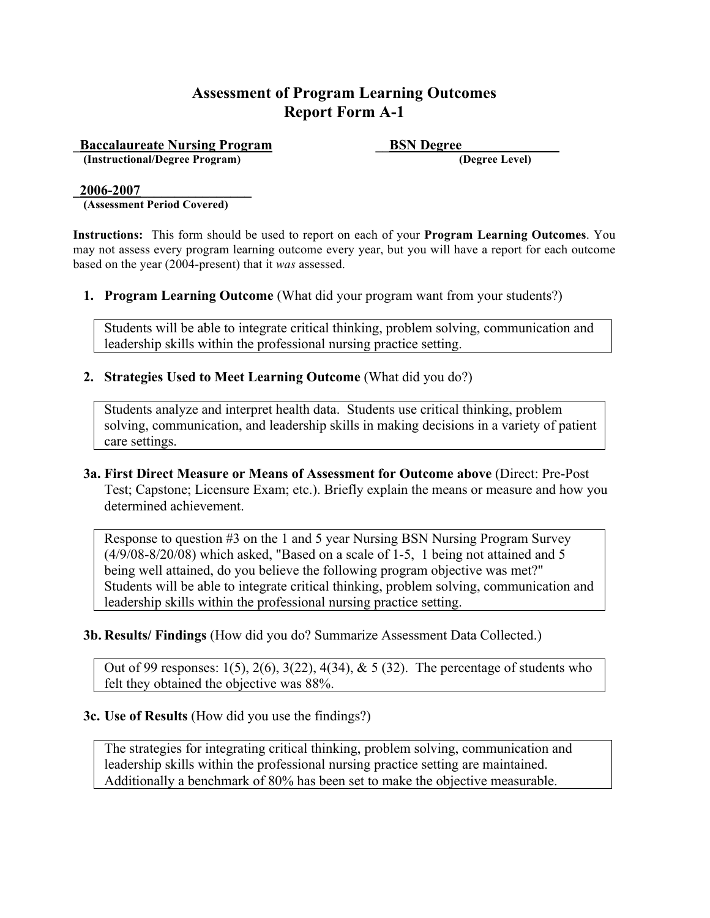**Example 3 Example 2 ESN Degree**<br> **ESN Degree**<br> **ESN Degree** Level  $(Instructional/Degree Program)$ 

#### **\_2006-2007\_\_\_\_\_\_\_\_\_\_\_\_\_\_\_\_**

**(Assessment Period Covered)**

**Instructions:** This form should be used to report on each of your **Program Learning Outcomes**. You may not assess every program learning outcome every year, but you will have a report for each outcome based on the year (2004-present) that it *was* assessed.

**1. Program Learning Outcome** (What did your program want from your students?)

Students will be able to integrate critical thinking, problem solving, communication and leadership skills within the professional nursing practice setting.

#### **2. Strategies Used to Meet Learning Outcome** (What did you do?)

Students analyze and interpret health data. Students use critical thinking, problem solving, communication, and leadership skills in making decisions in a variety of patient care settings.

**3a. First Direct Measure or Means of Assessment for Outcome above** (Direct: Pre-Post Test; Capstone; Licensure Exam; etc.). Briefly explain the means or measure and how you determined achievement.

Response to question #3 on the 1 and 5 year Nursing BSN Nursing Program Survey (4/9/08-8/20/08) which asked, "Based on a scale of 1-5, 1 being not attained and 5 being well attained, do you believe the following program objective was met?" Students will be able to integrate critical thinking, problem solving, communication and leadership skills within the professional nursing practice setting.

**3b. Results/ Findings** (How did you do? Summarize Assessment Data Collected.)

Out of 99 responses:  $1(5)$ ,  $2(6)$ ,  $3(22)$ ,  $4(34)$ ,  $\& 5(32)$ . The percentage of students who felt they obtained the objective was 88%.

#### **3c. Use of Results** (How did you use the findings?)

The strategies for integrating critical thinking, problem solving, communication and leadership skills within the professional nursing practice setting are maintained. Additionally a benchmark of 80% has been set to make the objective measurable.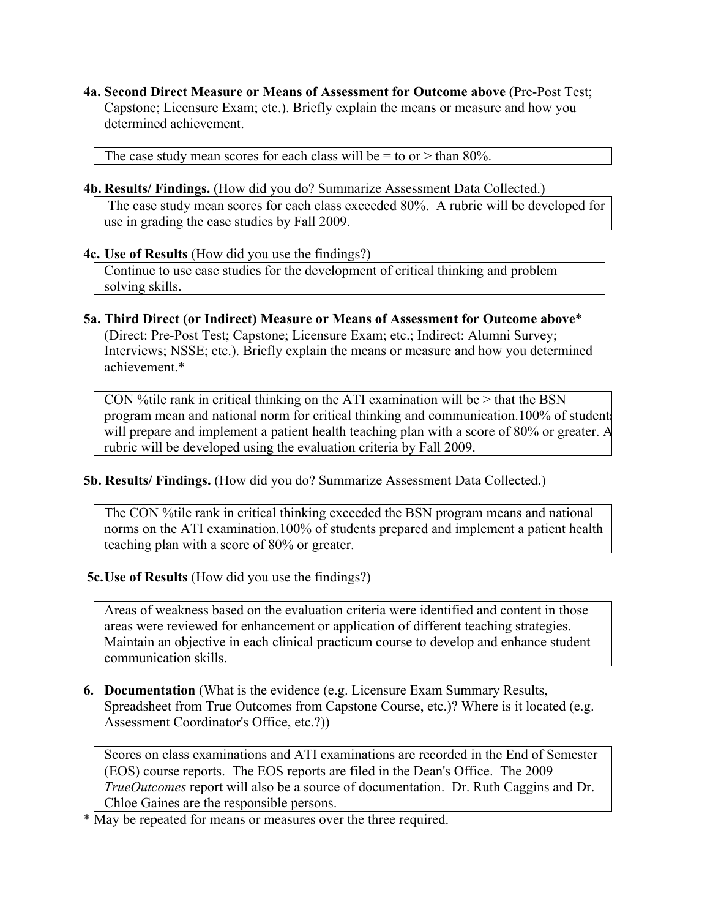The case study mean scores for each class will be  $=$  to or  $>$  than 80%.

**4b. Results/ Findings.** (How did you do? Summarize Assessment Data Collected.)

The case study mean scores for each class exceeded 80%. A rubric will be developed for use in grading the case studies by Fall 2009.

#### **4c. Use of Results** (How did you use the findings?)

Continue to use case studies for the development of critical thinking and problem solving skills.

**5a. Third Direct (or Indirect) Measure or Means of Assessment for Outcome above**\* (Direct: Pre-Post Test; Capstone; Licensure Exam; etc.; Indirect: Alumni Survey; Interviews; NSSE; etc.). Briefly explain the means or measure and how you determined achievement.\*

CON % tile rank in critical thinking on the ATI examination will be  $>$  that the BSN program mean and national norm for critical thinking and communication.100% of students will prepare and implement a patient health teaching plan with a score of 80% or greater. A rubric will be developed using the evaluation criteria by Fall 2009.

**5b. Results/ Findings.** (How did you do? Summarize Assessment Data Collected.)

The CON %tile rank in critical thinking exceeded the BSN program means and national norms on the ATI examination.100% of students prepared and implement a patient health teaching plan with a score of 80% or greater.

 **5c.Use of Results** (How did you use the findings?)

Areas of weakness based on the evaluation criteria were identified and content in those areas were reviewed for enhancement or application of different teaching strategies. Maintain an objective in each clinical practicum course to develop and enhance student communication skills.

**6. Documentation** (What is the evidence (e.g. Licensure Exam Summary Results, Spreadsheet from True Outcomes from Capstone Course, etc.)? Where is it located (e.g. Assessment Coordinator's Office, etc.?))

Scores on class examinations and ATI examinations are recorded in the End of Semester (EOS) course reports. The EOS reports are filed in the Dean's Office. The 2009 *TrueOutcomes* report will also be a source of documentation. Dr. Ruth Caggins and Dr. Chloe Gaines are the responsible persons.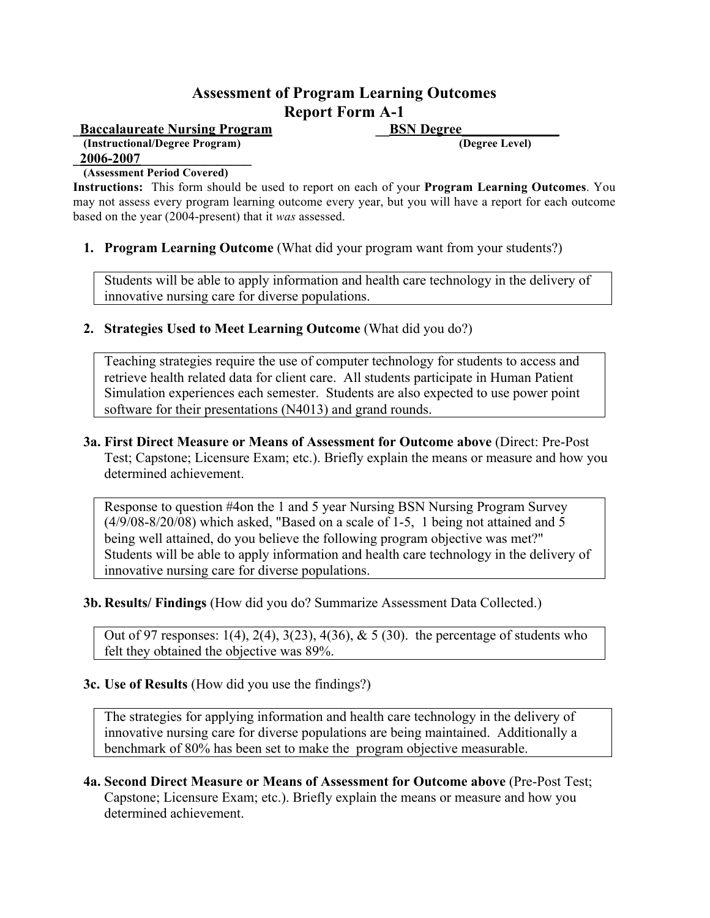**Baccalaureate Nursing Program BSN Degree (Instructional/Degree Program) (Degree Level) \_2006-2007\_\_\_\_\_\_\_\_\_\_\_\_\_\_\_\_**

#### **(Assessment Period Covered)**

**Instructions:** This form should be used to report on each of your **Program Learning Outcomes**. You may not assess every program learning outcome every year, but you will have a report for each outcome based on the year (2004-present) that it *was* assessed.

**1. Program Learning Outcome** (What did your program want from your students?)

Students will be able to apply information and health care technology in the delivery of innovative nursing care for diverse populations.

**2. Strategies Used to Meet Learning Outcome** (What did you do?)

Teaching strategies require the use of computer technology for students to access and retrieve health related data for client care. All students participate in Human Patient Simulation experiences each semester. Students are also expected to use power point software for their presentations (N4013) and grand rounds.

#### **3a. First Direct Measure or Means of Assessment for Outcome above** (Direct: Pre-Post Test; Capstone; Licensure Exam; etc.). Briefly explain the means or measure and how you determined achievement.

Response to question #4on the 1 and 5 year Nursing BSN Nursing Program Survey (4/9/08-8/20/08) which asked, "Based on a scale of 1-5, 1 being not attained and 5 being well attained, do you believe the following program objective was met?" Students will be able to apply information and health care technology in the delivery of innovative nursing care for diverse populations.

## **3b. Results/ Findings** (How did you do? Summarize Assessment Data Collected.)

Out of 97 responses:  $1(4)$ ,  $2(4)$ ,  $3(23)$ ,  $4(36)$ ,  $\& 5(30)$ . the percentage of students who felt they obtained the objective was 89%.

#### **3c. Use of Results** (How did you use the findings?)

The strategies for applying information and health care technology in the delivery of innovative nursing care for diverse populations are being maintained. Additionally a benchmark of 80% has been set to make the program objective measurable.

**4a. Second Direct Measure or Means of Assessment for Outcome above** (Pre-Post Test; Capstone; Licensure Exam; etc.). Briefly explain the means or measure and how you determined achievement.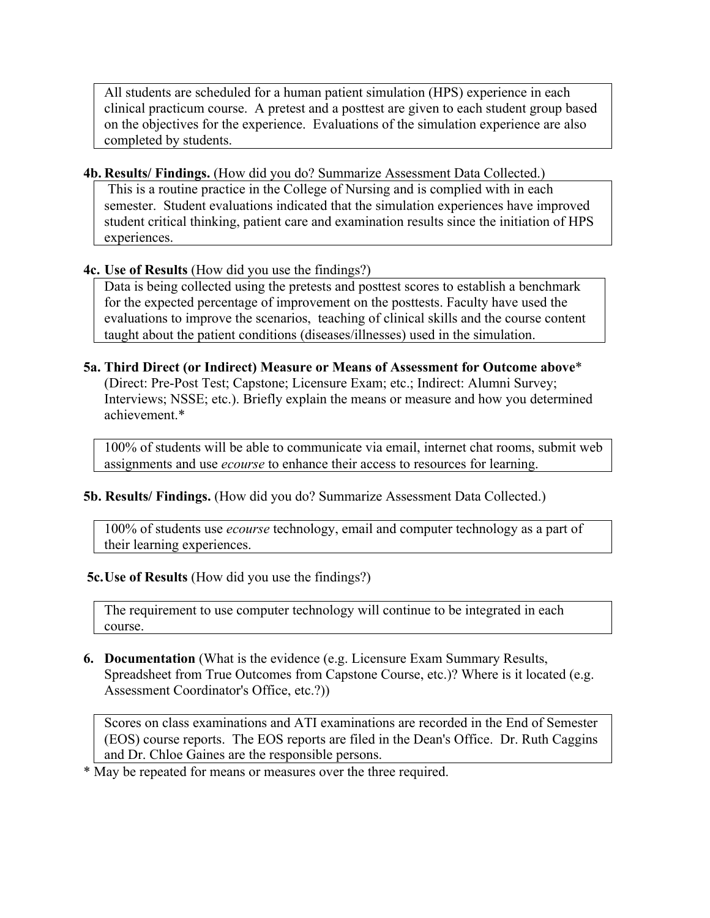All students are scheduled for a human patient simulation (HPS) experience in each clinical practicum course. A pretest and a posttest are given to each student group based on the objectives for the experience. Evaluations of the simulation experience are also completed by students.

#### **4b. Results/ Findings.** (How did you do? Summarize Assessment Data Collected.)

This is a routine practice in the College of Nursing and is complied with in each semester. Student evaluations indicated that the simulation experiences have improved student critical thinking, patient care and examination results since the initiation of HPS experiences.

## **4c. Use of Results** (How did you use the findings?)

Data is being collected using the pretests and posttest scores to establish a benchmark for the expected percentage of improvement on the posttests. Faculty have used the evaluations to improve the scenarios, teaching of clinical skills and the course content taught about the patient conditions (diseases/illnesses) used in the simulation.

# **5a. Third Direct (or Indirect) Measure or Means of Assessment for Outcome above**\*

(Direct: Pre-Post Test; Capstone; Licensure Exam; etc.; Indirect: Alumni Survey; Interviews; NSSE; etc.). Briefly explain the means or measure and how you determined achievement.\*

100% of students will be able to communicate via email, internet chat rooms, submit web assignments and use *ecourse* to enhance their access to resources for learning.

## **5b. Results/ Findings.** (How did you do? Summarize Assessment Data Collected.)

100% of students use *ecourse* technology, email and computer technology as a part of their learning experiences.

## **5c.Use of Results** (How did you use the findings?)

The requirement to use computer technology will continue to be integrated in each course.

## **6. Documentation** (What is the evidence (e.g. Licensure Exam Summary Results, Spreadsheet from True Outcomes from Capstone Course, etc.)? Where is it located (e.g. Assessment Coordinator's Office, etc.?))

Scores on class examinations and ATI examinations are recorded in the End of Semester (EOS) course reports. The EOS reports are filed in the Dean's Office. Dr. Ruth Caggins and Dr. Chloe Gaines are the responsible persons.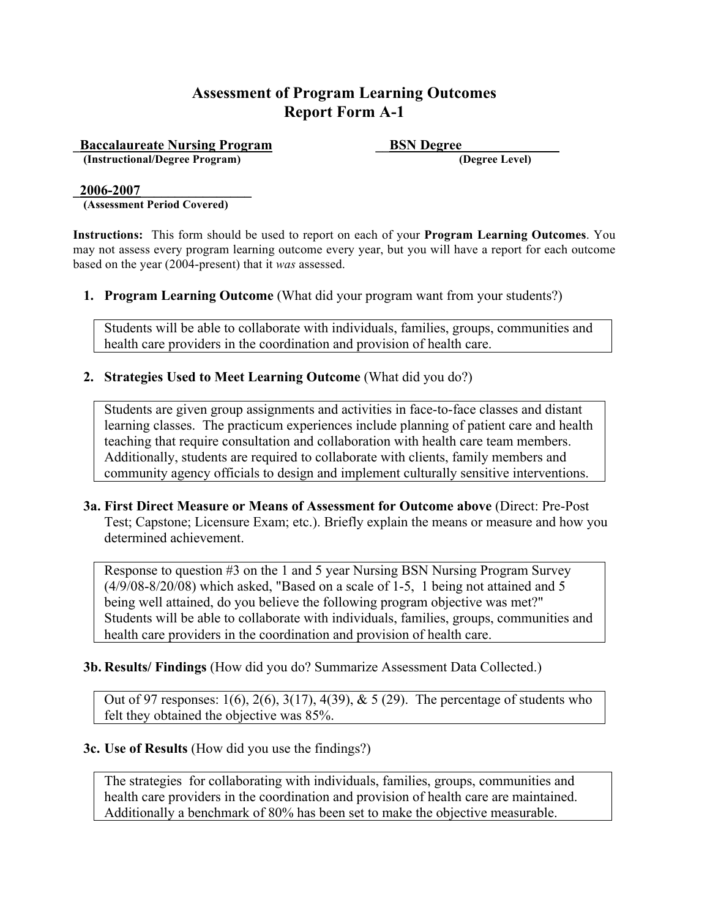**Accalaureate Nursing Program**<br> **ESN Degree** (Instructional/Degree Program) **\_\_\_\_\_\_\_\_\_\_\_\_\_\_\_\_\_\_\_\_\_\_\_\_\_\_\_\_\_\_\_\_\_\_\_** (Degree Level)  $(Instructional/Degree Program)$ 

#### **\_2006-2007\_\_\_\_\_\_\_\_\_\_\_\_\_\_\_\_**

**(Assessment Period Covered)**

**Instructions:** This form should be used to report on each of your **Program Learning Outcomes**. You may not assess every program learning outcome every year, but you will have a report for each outcome based on the year (2004-present) that it *was* assessed.

**1. Program Learning Outcome** (What did your program want from your students?)

Students will be able to collaborate with individuals, families, groups, communities and health care providers in the coordination and provision of health care.

#### **2. Strategies Used to Meet Learning Outcome** (What did you do?)

Students are given group assignments and activities in face-to-face classes and distant learning classes. The practicum experiences include planning of patient care and health teaching that require consultation and collaboration with health care team members. Additionally, students are required to collaborate with clients, family members and community agency officials to design and implement culturally sensitive interventions.

**3a. First Direct Measure or Means of Assessment for Outcome above** (Direct: Pre-Post Test; Capstone; Licensure Exam; etc.). Briefly explain the means or measure and how you determined achievement.

Response to question #3 on the 1 and 5 year Nursing BSN Nursing Program Survey (4/9/08-8/20/08) which asked, "Based on a scale of 1-5, 1 being not attained and 5 being well attained, do you believe the following program objective was met?" Students will be able to collaborate with individuals, families, groups, communities and health care providers in the coordination and provision of health care.

**3b. Results/ Findings** (How did you do? Summarize Assessment Data Collected.)

Out of 97 responses:  $1(6)$ ,  $2(6)$ ,  $3(17)$ ,  $4(39)$ ,  $\& 5(29)$ . The percentage of students who felt they obtained the objective was 85%.

#### **3c. Use of Results** (How did you use the findings?)

The strategies for collaborating with individuals, families, groups, communities and health care providers in the coordination and provision of health care are maintained. Additionally a benchmark of 80% has been set to make the objective measurable.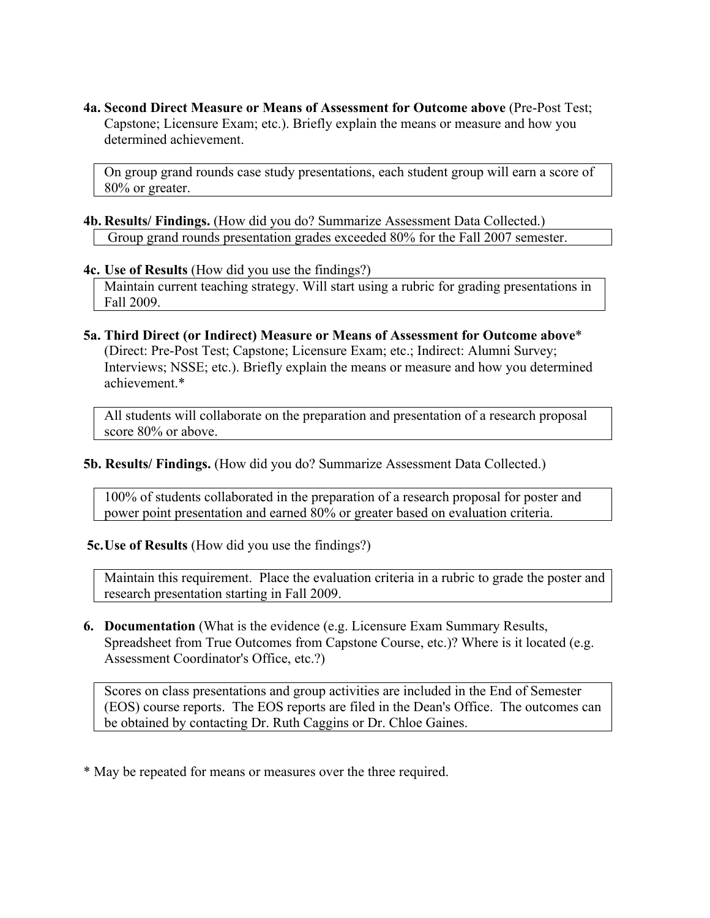On group grand rounds case study presentations, each student group will earn a score of 80% or greater.

- **4b. Results/ Findings.** (How did you do? Summarize Assessment Data Collected.) Group grand rounds presentation grades exceeded 80% for the Fall 2007 semester.
- **4c. Use of Results** (How did you use the findings?)

Maintain current teaching strategy. Will start using a rubric for grading presentations in Fall 2009.

**5a. Third Direct (or Indirect) Measure or Means of Assessment for Outcome above**\* (Direct: Pre-Post Test; Capstone; Licensure Exam; etc.; Indirect: Alumni Survey; Interviews; NSSE; etc.). Briefly explain the means or measure and how you determined achievement.\*

All students will collaborate on the preparation and presentation of a research proposal score 80% or above.

**5b. Results/ Findings.** (How did you do? Summarize Assessment Data Collected.)

100% of students collaborated in the preparation of a research proposal for poster and power point presentation and earned 80% or greater based on evaluation criteria.

 **5c.Use of Results** (How did you use the findings?)

Maintain this requirement. Place the evaluation criteria in a rubric to grade the poster and research presentation starting in Fall 2009.

**6. Documentation** (What is the evidence (e.g. Licensure Exam Summary Results, Spreadsheet from True Outcomes from Capstone Course, etc.)? Where is it located (e.g. Assessment Coordinator's Office, etc.?)

Scores on class presentations and group activities are included in the End of Semester (EOS) course reports. The EOS reports are filed in the Dean's Office. The outcomes can be obtained by contacting Dr. Ruth Caggins or Dr. Chloe Gaines.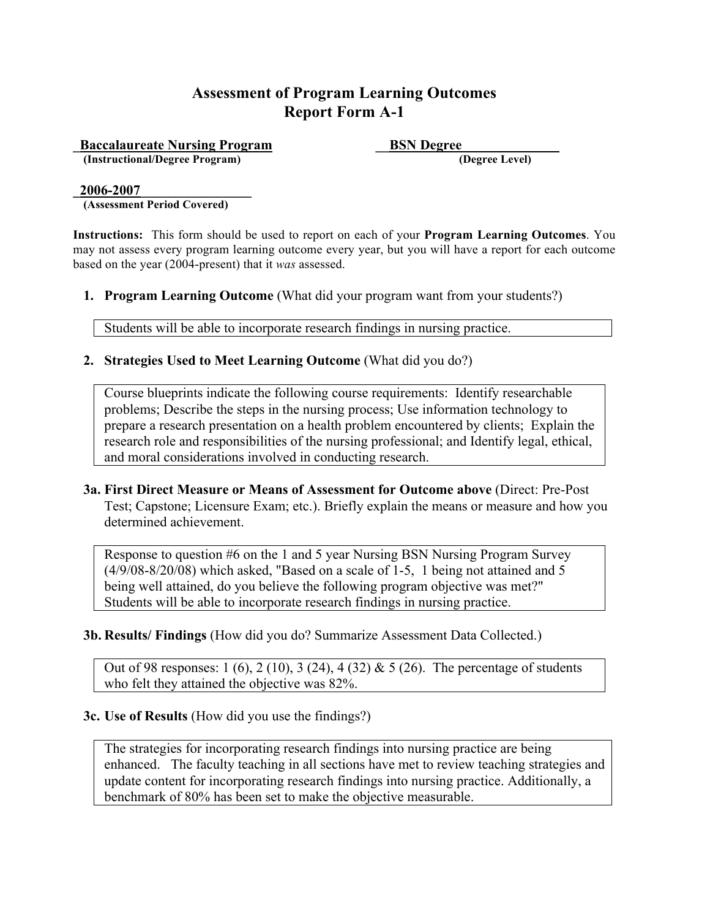**Example 3 Example 2 ESN Degree**<br> **ESN Degree**<br> **ESN Degree** Level  $(Instructional/Degree Program)$ 

**\_2006-2007\_\_\_\_\_\_\_\_\_\_\_\_\_\_\_\_**

**(Assessment Period Covered)**

**Instructions:** This form should be used to report on each of your **Program Learning Outcomes**. You may not assess every program learning outcome every year, but you will have a report for each outcome based on the year (2004-present) that it *was* assessed.

**1. Program Learning Outcome** (What did your program want from your students?)

Students will be able to incorporate research findings in nursing practice.

#### **2. Strategies Used to Meet Learning Outcome** (What did you do?)

Course blueprints indicate the following course requirements: Identify researchable problems; Describe the steps in the nursing process; Use information technology to prepare a research presentation on a health problem encountered by clients; Explain the research role and responsibilities of the nursing professional; and Identify legal, ethical, and moral considerations involved in conducting research.

**3a. First Direct Measure or Means of Assessment for Outcome above** (Direct: Pre-Post Test; Capstone; Licensure Exam; etc.). Briefly explain the means or measure and how you determined achievement.

Response to question #6 on the 1 and 5 year Nursing BSN Nursing Program Survey (4/9/08-8/20/08) which asked, "Based on a scale of 1-5, 1 being not attained and 5 being well attained, do you believe the following program objective was met?" Students will be able to incorporate research findings in nursing practice.

**3b. Results/ Findings** (How did you do? Summarize Assessment Data Collected.)

Out of 98 responses:  $1 (6)$ ,  $2 (10)$ ,  $3 (24)$ ,  $4 (32)$  &  $5 (26)$ . The percentage of students who felt they attained the objective was 82%.

#### **3c. Use of Results** (How did you use the findings?)

The strategies for incorporating research findings into nursing practice are being enhanced. The faculty teaching in all sections have met to review teaching strategies and update content for incorporating research findings into nursing practice. Additionally, a benchmark of 80% has been set to make the objective measurable.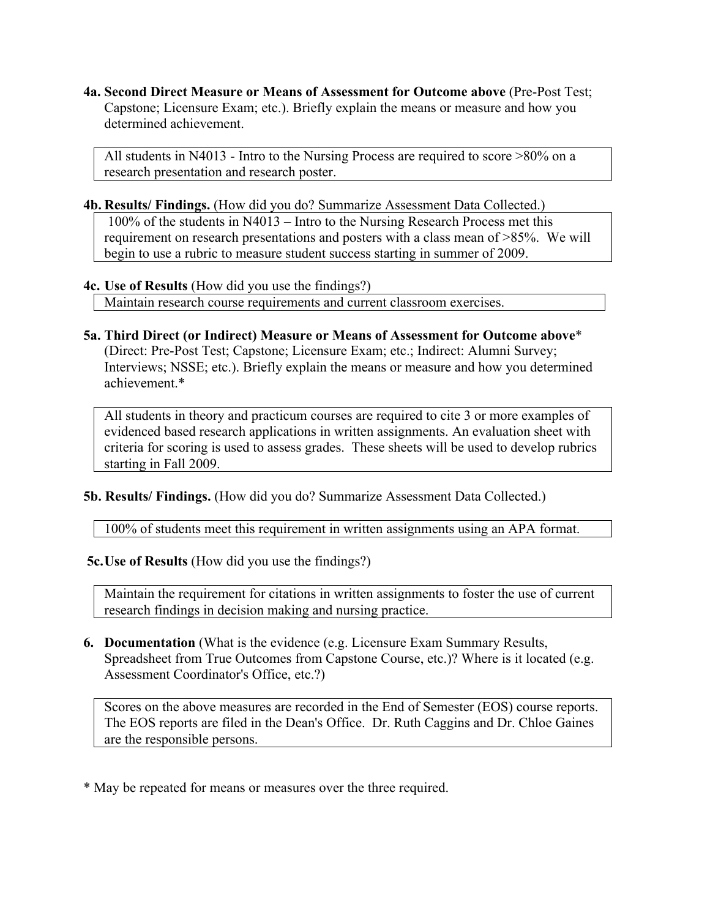All students in N4013 - Intro to the Nursing Process are required to score >80% on a research presentation and research poster.

**4b. Results/ Findings.** (How did you do? Summarize Assessment Data Collected.) 100% of the students in N4013 – Intro to the Nursing Research Process met this requirement on research presentations and posters with a class mean of >85%. We will begin to use a rubric to measure student success starting in summer of 2009.

## **4c. Use of Results** (How did you use the findings?)

Maintain research course requirements and current classroom exercises.

**5a. Third Direct (or Indirect) Measure or Means of Assessment for Outcome above**\* (Direct: Pre-Post Test; Capstone; Licensure Exam; etc.; Indirect: Alumni Survey; Interviews; NSSE; etc.). Briefly explain the means or measure and how you determined achievement.\*

All students in theory and practicum courses are required to cite 3 or more examples of evidenced based research applications in written assignments. An evaluation sheet with criteria for scoring is used to assess grades. These sheets will be used to develop rubrics starting in Fall 2009.

**5b. Results/ Findings.** (How did you do? Summarize Assessment Data Collected.)

100% of students meet this requirement in written assignments using an APA format.

 **5c.Use of Results** (How did you use the findings?)

Maintain the requirement for citations in written assignments to foster the use of current research findings in decision making and nursing practice.

**6. Documentation** (What is the evidence (e.g. Licensure Exam Summary Results, Spreadsheet from True Outcomes from Capstone Course, etc.)? Where is it located (e.g. Assessment Coordinator's Office, etc.?)

Scores on the above measures are recorded in the End of Semester (EOS) course reports. The EOS reports are filed in the Dean's Office. Dr. Ruth Caggins and Dr. Chloe Gaines are the responsible persons.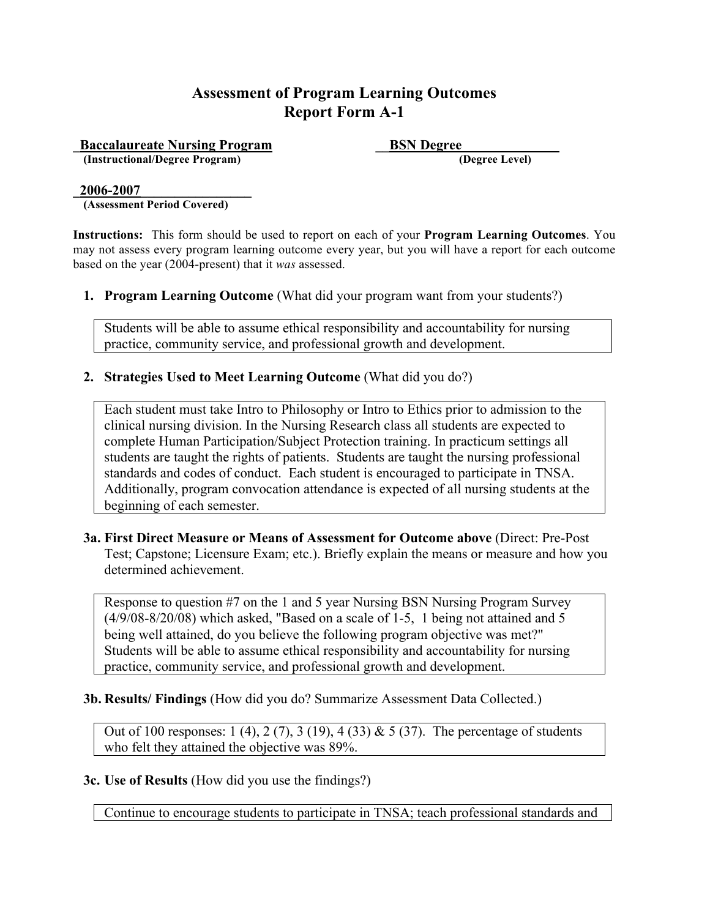**Accalaureate Nursing Program**<br> **ESN Degree** (Instructional/Degree Program) **\_\_\_\_\_\_\_\_\_\_\_\_\_\_\_\_\_\_\_\_\_\_\_\_\_\_\_\_\_\_\_\_\_\_\_** (Degree Level)  $(Instructional/Degree Program)$ 

#### **\_2006-2007\_\_\_\_\_\_\_\_\_\_\_\_\_\_\_\_**

**(Assessment Period Covered)**

**Instructions:** This form should be used to report on each of your **Program Learning Outcomes**. You may not assess every program learning outcome every year, but you will have a report for each outcome based on the year (2004-present) that it *was* assessed.

**1. Program Learning Outcome** (What did your program want from your students?)

Students will be able to assume ethical responsibility and accountability for nursing practice, community service, and professional growth and development.

#### **2. Strategies Used to Meet Learning Outcome** (What did you do?)

Each student must take Intro to Philosophy or Intro to Ethics prior to admission to the clinical nursing division. In the Nursing Research class all students are expected to complete Human Participation/Subject Protection training. In practicum settings all students are taught the rights of patients. Students are taught the nursing professional standards and codes of conduct. Each student is encouraged to participate in TNSA. Additionally, program convocation attendance is expected of all nursing students at the beginning of each semester.

**3a. First Direct Measure or Means of Assessment for Outcome above** (Direct: Pre-Post Test; Capstone; Licensure Exam; etc.). Briefly explain the means or measure and how you determined achievement.

Response to question #7 on the 1 and 5 year Nursing BSN Nursing Program Survey (4/9/08-8/20/08) which asked, "Based on a scale of 1-5, 1 being not attained and 5 being well attained, do you believe the following program objective was met?" Students will be able to assume ethical responsibility and accountability for nursing practice, community service, and professional growth and development.

#### **3b. Results/ Findings** (How did you do? Summarize Assessment Data Collected.)

Out of 100 responses: 1 (4), 2 (7), 3 (19), 4 (33) & 5 (37). The percentage of students who felt they attained the objective was 89%.

#### **3c. Use of Results** (How did you use the findings?)

Continue to encourage students to participate in TNSA; teach professional standards and